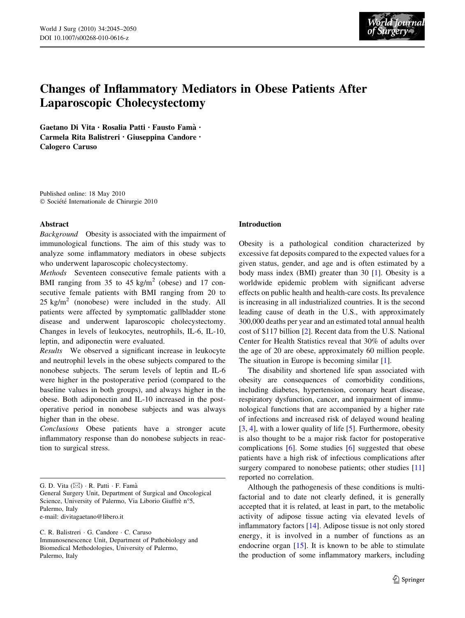

# Changes of Inflammatory Mediators in Obese Patients After Laparoscopic Cholecystectomy

Gaetano Di Vita • Rosalia Patti • Fausto Fama` • Carmela Rita Balistreri • Giuseppina Candore • Calogero Caruso

Published online: 18 May 2010  $\odot$  Société Internationale de Chirurgie 2010

## Abstract

Background Obesity is associated with the impairment of immunological functions. The aim of this study was to analyze some inflammatory mediators in obese subjects who underwent laparoscopic cholecystectomy.

Methods Seventeen consecutive female patients with a BMI ranging from 35 to 45 kg/m<sup>2</sup> (obese) and 17 consecutive female patients with BMI ranging from 20 to  $25 \text{ kg/m}^2$  (nonobese) were included in the study. All patients were affected by symptomatic gallbladder stone disease and underwent laparoscopic cholecystectomy. Changes in levels of leukocytes, neutrophils, IL-6, IL-10, leptin, and adiponectin were evaluated.

Results We observed a significant increase in leukocyte and neutrophil levels in the obese subjects compared to the nonobese subjects. The serum levels of leptin and IL-6 were higher in the postoperative period (compared to the baseline values in both groups), and always higher in the obese. Both adiponectin and IL-10 increased in the postoperative period in nonobese subjects and was always higher than in the obese.

Conclusions Obese patients have a stronger acute inflammatory response than do nonobese subjects in reaction to surgical stress.

General Surgery Unit, Department of Surgical and Oncological Science, University of Palermo, Via Liborio Giuffrè n°5, Palermo, Italy

e-mail: divitagaetano@libero.it

C. R. Balistreri - G. Candore - C. Caruso Immunosenescence Unit, Department of Pathobiology and Biomedical Methodologies, University of Palermo, Palermo, Italy

### Introduction

Obesity is a pathological condition characterized by excessive fat deposits compared to the expected values for a given status, gender, and age and is often estimated by a body mass index (BMI) greater than 30 [[1](#page-4-0)]. Obesity is a worldwide epidemic problem with significant adverse effects on public health and health-care costs. Its prevalence is increasing in all industrialized countries. It is the second leading cause of death in the U.S., with approximately 300,000 deaths per year and an estimated total annual health cost of \$117 billion [\[2\]](#page-4-0). Recent data from the U.S. National Center for Health Statistics reveal that 30% of adults over the age of 20 are obese, approximately 60 million people. The situation in Europe is becoming similar [\[1](#page-4-0)].

The disability and shortened life span associated with obesity are consequences of comorbidity conditions, including diabetes, hypertension, coronary heart disease, respiratory dysfunction, cancer, and impairment of immunological functions that are accompanied by a higher rate of infections and increased risk of delayed wound healing [\[3](#page-4-0), [4\]](#page-4-0), with a lower quality of life [[5\]](#page-4-0). Furthermore, obesity is also thought to be a major risk factor for postoperative complications [[6\]](#page-4-0). Some studies [[6\]](#page-4-0) suggested that obese patients have a high risk of infectious complications after surgery compared to nonobese patients; other studies [[11\]](#page-5-0) reported no correlation.

Although the pathogenesis of these conditions is multifactorial and to date not clearly defined, it is generally accepted that it is related, at least in part, to the metabolic activity of adipose tissue acting via elevated levels of inflammatory factors [[14\]](#page-5-0). Adipose tissue is not only stored energy, it is involved in a number of functions as an endocrine organ [\[15](#page-5-0)]. It is known to be able to stimulate the production of some inflammatory markers, including

G. D. Vita  $(\boxtimes) \cdot R$ . Patti  $\cdot$  F. Famà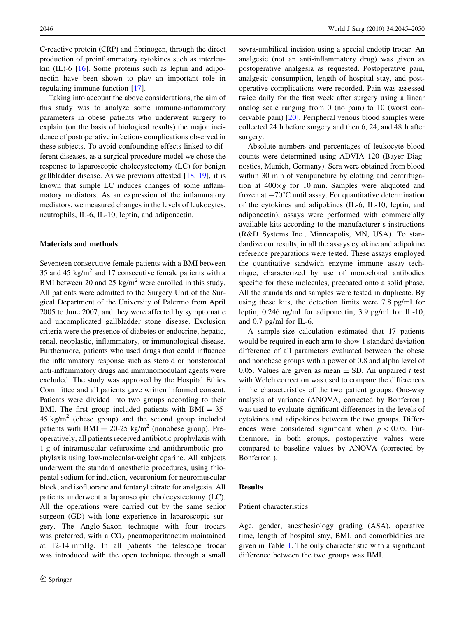C-reactive protein (CRP) and fibrinogen, through the direct production of proinflammatory cytokines such as interleukin (IL)-6 [[16\]](#page-5-0). Some proteins such as leptin and adiponectin have been shown to play an important role in regulating immune function [\[17](#page-5-0)].

Taking into account the above considerations, the aim of this study was to analyze some immune-inflammatory parameters in obese patients who underwent surgery to explain (on the basis of biological results) the major incidence of postoperative infectious complications observed in these subjects. To avoid confounding effects linked to different diseases, as a surgical procedure model we chose the response to laparoscopic cholecystectomy (LC) for benign gallbladder disease. As we previous attested [[18,](#page-5-0) [19](#page-5-0)], it is known that simple LC induces changes of some inflammatory mediators. As an expression of the inflammatory mediators, we measured changes in the levels of leukocytes, neutrophils, IL-6, IL-10, leptin, and adiponectin.

#### Materials and methods

Seventeen consecutive female patients with a BMI between 35 and 45 kg/ $m<sup>2</sup>$  and 17 consecutive female patients with a BMI between 20 and 25 kg/m<sup>2</sup> were enrolled in this study. All patients were admitted to the Surgery Unit of the Surgical Department of the University of Palermo from April 2005 to June 2007, and they were affected by symptomatic and uncomplicated gallbladder stone disease. Exclusion criteria were the presence of diabetes or endocrine, hepatic, renal, neoplastic, inflammatory, or immunological disease. Furthermore, patients who used drugs that could influence the inflammatory response such as steroid or nonsteroidal anti-inflammatory drugs and immunomodulant agents were excluded. The study was approved by the Hospital Ethics Committee and all patients gave written informed consent. Patients were divided into two groups according to their BMI. The first group included patients with  $BMI = 35$ - $45 \text{ kg/m}^2$  (obese group) and the second group included patients with BMI =  $20-25$  kg/m<sup>2</sup> (nonobese group). Preoperatively, all patients received antibiotic prophylaxis with 1 g of intramuscular cefuroxime and antithrombotic prophylaxis using low-molecular-weight eparine. All subjects underwent the standard anesthetic procedures, using thiopental sodium for induction, vecuronium for neuromuscular block, and isofluorane and fentanyl citrate for analgesia. All patients underwent a laparoscopic cholecystectomy (LC). All the operations were carried out by the same senior surgeon (GD) with long experience in laparoscopic surgery. The Anglo-Saxon technique with four trocars was preferred, with a  $CO<sub>2</sub>$  pneumoperitoneum maintained at 12-14 mmHg. In all patients the telescope trocar was introduced with the open technique through a small sovra-umbilical incision using a special endotip trocar. An analgesic (not an anti-inflammatory drug) was given as postoperative analgesia as requested. Postoperative pain, analgesic consumption, length of hospital stay, and postoperative complications were recorded. Pain was assessed twice daily for the first week after surgery using a linear analog scale ranging from 0 (no pain) to 10 (worst conceivable pain) [[20\]](#page-5-0). Peripheral venous blood samples were collected 24 h before surgery and then 6, 24, and 48 h after surgery.

Absolute numbers and percentages of leukocyte blood counts were determined using ADVIA 120 (Bayer Diagnostics, Munich, Germany). Sera were obtained from blood within 30 min of venipuncture by clotting and centrifugation at  $400 \times g$  for 10 min. Samples were aliquoted and frozen at  $-70^{\circ}$ C until assay. For quantitative determination of the cytokines and adipokines (IL-6, IL-10, leptin, and adiponectin), assays were performed with commercially available kits according to the manufacturer's instructions (R&D Systems Inc., Minneapolis, MN, USA). To standardize our results, in all the assays cytokine and adipokine reference preparations were tested. These assays employed the quantitative sandwich enzyme immune assay technique, characterized by use of monoclonal antibodies specific for these molecules, precoated onto a solid phase. All the standards and samples were tested in duplicate. By using these kits, the detection limits were 7.8 pg/ml for leptin, 0.246 ng/ml for adiponectin, 3.9 pg/ml for IL-10, and 0.7 pg/ml for IL-6.

A sample-size calculation estimated that 17 patients would be required in each arm to show 1 standard deviation difference of all parameters evaluated between the obese and nonobese groups with a power of 0.8 and alpha level of 0.05. Values are given as mean  $\pm$  SD. An unpaired t test with Welch correction was used to compare the differences in the characteristics of the two patient groups. One-way analysis of variance (ANOVA, corrected by Bonferroni) was used to evaluate significant differences in the levels of cytokines and adipokines between the two groups. Differences were considered significant when  $p < 0.05$ . Furthermore, in both groups, postoperative values were compared to baseline values by ANOVA (corrected by Bonferroni).

#### Results

#### Patient characteristics

Age, gender, anesthesiology grading (ASA), operative time, length of hospital stay, BMI, and comorbidities are given in Table [1](#page-2-0). The only characteristic with a significant difference between the two groups was BMI.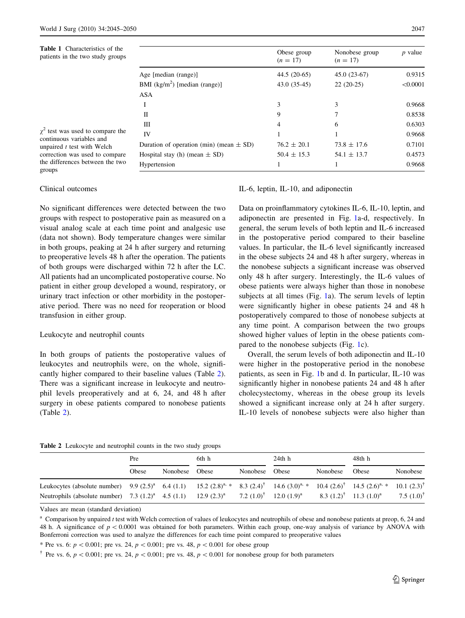<span id="page-2-0"></span>Table 1 Characteristics of the patients in the two study groups

|                                             | Obese group<br>$(n = 17)$ | Nonobese group<br>$(n = 17)$ | $p$ value |
|---------------------------------------------|---------------------------|------------------------------|-----------|
| Age [median $(range)$ ]                     | $44.5(20-65)$             | $45.0(23-67)$                | 0.9315    |
| BMI $(kg/m2)$ [median (range)]              | $43.0(35-45)$             | $22(20-25)$                  | < 0.0001  |
| <b>ASA</b>                                  |                           |                              |           |
| I                                           | 3                         | 3                            | 0.9668    |
| П                                           | 9                         |                              | 0.8538    |
| Ш                                           | 4                         | 6                            | 0.6303    |
| IV                                          | 1                         |                              | 0.9668    |
| Duration of operation (min) (mean $\pm$ SD) | $76.2 \pm 20.1$           | $73.8 \pm 17.6$              | 0.7101    |
| Hospital stay (h) (mean $\pm$ SD)           | $50.4 \pm 15.3$           | $54.1 \pm 13.7$              | 0.4573    |
| Hypertension                                | 1                         |                              | 0.9668    |

 $\chi^2$  test was used to compare the continuous variables and unpaired  $t$  test with Welch correction was used to compare the differences between the two groups

Clinical outcomes

No significant differences were detected between the two groups with respect to postoperative pain as measured on a visual analog scale at each time point and analgesic use (data not shown). Body temperature changes were similar in both groups, peaking at 24 h after surgery and returning to preoperative levels 48 h after the operation. The patients of both groups were discharged within 72 h after the LC. All patients had an uncomplicated postoperative course. No patient in either group developed a wound, respiratory, or urinary tract infection or other morbidity in the postoperative period. There was no need for reoperation or blood transfusion in either group.

#### Leukocyte and neutrophil counts

In both groups of patients the postoperative values of leukocytes and neutrophils were, on the whole, significantly higher compared to their baseline values (Table 2). There was a significant increase in leukocyte and neutrophil levels preoperatively and at 6, 24, and 48 h after surgery in obese patients compared to nonobese patients (Table 2).

## IL-6, leptin, IL-10, and adiponectin

Data on proinflammatory cytokines IL-6, IL-10, leptin, and adiponectin are presented in Fig. [1](#page-3-0)a-d, respectively. In general, the serum levels of both leptin and IL-6 increased in the postoperative period compared to their baseline values. In particular, the IL-6 level significantly increased in the obese subjects 24 and 48 h after surgery, whereas in the nonobese subjects a significant increase was observed only 48 h after surgery. Interestingly, the IL-6 values of obese patients were always higher than those in nonobese subjects at all times (Fig. [1](#page-3-0)a). The serum levels of leptin were significantly higher in obese patients 24 and 48 h postoperatively compared to those of nonobese subjects at any time point. A comparison between the two groups showed higher values of leptin in the obese patients compared to the nonobese subjects (Fig. [1](#page-3-0)c).

Overall, the serum levels of both adiponectin and IL-10 were higher in the postoperative period in the nonobese patients, as seen in Fig. [1b](#page-3-0) and d. In particular, IL-10 was significantly higher in nonobese patients 24 and 48 h after cholecystectomy, whereas in the obese group its levels showed a significant increase only at 24 h after surgery. IL-10 levels of nonobese subjects were also higher than

Table 2 Leukocyte and neutrophil counts in the two study groups

|                                                                                                                                                              | Pre   |                | 6th h |                 | $24th$ h       |          | 48th h                                       |                        |
|--------------------------------------------------------------------------------------------------------------------------------------------------------------|-------|----------------|-------|-----------------|----------------|----------|----------------------------------------------|------------------------|
|                                                                                                                                                              | Obese | Nonobese Obese |       | Nonobese Obese  |                | Nonobese | Obese                                        | Nonobese               |
| Leukocytes (absolute number) 9.9 $(2.5)^a$ 6.4 $(1.1)$ 15.2 $(2.8)^{a}$ * 8.3 $(2.4)^{\dagger}$ 14.6 $(3.0)^{a}$ * 10.4 $(2.6)^{\dagger}$ 14.5 $(2.6)^{a}$ * |       |                |       |                 |                |          |                                              | 10.1 $(2.3)^{\dagger}$ |
| Neutrophils (absolute number) 7.3 $(1.2)^a$ 4.5 $(1.1)$ 12.9 $(2.3)^a$                                                                                       |       |                |       | 7.2 $(1.0)^{T}$ | 12.0 $(1.9)^a$ |          | 8.3 $(1.2)^{\dagger}$ 11.3 $(1.0)^{\dagger}$ | 7.5 $(1.0)^{\dagger}$  |

Values are mean (standard deviation)

 $^{\text{a}}$  Comparison by unpaired t test with Welch correction of values of leukocytes and neutrophils of obese and nonobese patients at preop, 6, 24 and 48 h. A significance of  $p < 0.0001$  was obtained for both parameters. Within each group, one-way analysis of variance by ANOVA with Bonferroni correction was used to analyze the differences for each time point compared to preoperative values

\* Pre vs. 6:  $p \lt 0.001$ ; pre vs. 24,  $p \lt 0.001$ ; pre vs. 48,  $p \lt 0.001$  for obese group

<sup>†</sup> Pre vs. 6,  $p < 0.001$ ; pre vs. 24,  $p < 0.001$ ; pre vs. 48,  $p < 0.001$  for nonobese group for both parameters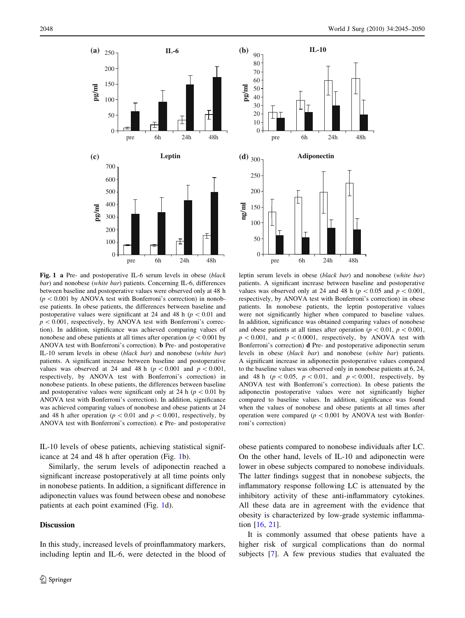<span id="page-3-0"></span>



Fig. 1 a Pre- and postoperative IL-6 serum levels in obese (black bar) and nonobese (white bar) patients. Concerning IL-6, differences between baseline and postoperative values were observed only at 48 h  $(p<0.001$  by ANOVA test with Bonferroni's correction) in nonobese patients. In obese patients, the differences between baseline and postoperative values were significant at 24 and 48 h ( $p \lt 0.01$  and  $p < 0.001$ , respectively, by ANOVA test with Bonferroni's correction). In addition, significance was achieved comparing values of nonobese and obese patients at all times after operation ( $p\lt0.001$  by ANOVA test with Bonferroni's correction). b Pre- and postoperative IL-10 serum levels in obese (black bar) and nonobese (white bar) patients. A significant increase between baseline and postoperative values was observed at 24 and 48 h ( $p<0.001$  and  $p<0.001$ , respectively, by ANOVA test with Bonferroni's correction) in nonobese patients. In obese patients, the differences between baseline and postoperative values were significant only at 24 h ( $p < 0.01$  by ANOVA test with Bonferroni's correction). In addition, significance was achieved comparing values of nonobese and obese patients at 24 and 48 h after operation ( $p < 0.01$  and  $p < 0.001$ , respectively, by ANOVA test with Bonferroni's correction). c Pre- and postoperative

IL-10 levels of obese patients, achieving statistical significance at 24 and 48 h after operation (Fig. 1b).

Similarly, the serum levels of adiponectin reached a significant increase postoperatively at all time points only in nonobese patients. In addition, a significant difference in adiponectin values was found between obese and nonobese patients at each point examined (Fig. 1d).

#### Discussion

In this study, increased levels of proinflammatory markers, including leptin and IL-6, were detected in the blood of

leptin serum levels in obese (black bar) and nonobese (white bar) patients. A significant increase between baseline and postoperative values was observed only at 24 and 48 h ( $p<0.05$  and  $p<0.001$ , respectively, by ANOVA test with Bonferroni's correction) in obese patients. In nonobese patients, the leptin postoperative values were not significantly higher when compared to baseline values. In addition, significance was obtained comparing values of nonobese and obese patients at all times after operation ( $p < 0.01$ ,  $p < 0.001$ ,  $p\lt 0.001$ , and  $p\lt 0.0001$ , respectively, by ANOVA test with Bonferroni's correction) d Pre- and postoperative adiponectin serum levels in obese (black bar) and nonobese (white bar) patients. A significant increase in adiponectin postoperative values compared to the baseline values was observed only in nonobese patients at 6, 24, and 48 h ( $p \lt 0.05$ ,  $p \lt 0.01$ , and  $p \lt 0.001$ , respectively, by ANOVA test with Bonferroni's correction). In obese patients the adiponectin postoperative values were not significantly higher compared to baseline values. In addition, significance was found when the values of nonobese and obese patients at all times after operation were compared ( $p < 0.001$  by ANOVA test with Bonferroni's correction)

obese patients compared to nonobese individuals after LC. On the other hand, levels of IL-10 and adiponectin were lower in obese subjects compared to nonobese individuals. The latter findings suggest that in nonobese subjects, the inflammatory response following LC is attenuated by the inhibitory activity of these anti-inflammatory cytokines. All these data are in agreement with the evidence that obesity is characterized by low-grade systemic inflammation [\[16](#page-5-0), [21](#page-5-0)].

It is commonly assumed that obese patients have a higher risk of surgical complications than do normal subjects [[7\]](#page-5-0). A few previous studies that evaluated the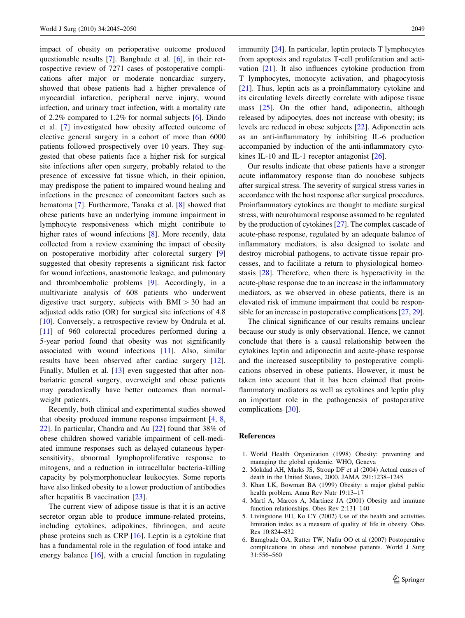<span id="page-4-0"></span>impact of obesity on perioperative outcome produced questionable results [\[7](#page-5-0)]. Bangbade et al. [6], in their retrospective review of 7271 cases of postoperative complications after major or moderate noncardiac surgery, showed that obese patients had a higher prevalence of myocardial infarction, peripheral nerve injury, wound infection, and urinary tract infection, with a mortality rate of 2.2% compared to 1.2% for normal subjects [6]. Dindo et al. [\[7](#page-5-0)] investigated how obesity affected outcome of elective general surgery in a cohort of more than 6000 patients followed prospectively over 10 years. They suggested that obese patients face a higher risk for surgical site infections after open surgery, probably related to the presence of excessive fat tissue which, in their opinion, may predispose the patient to impaired wound healing and infections in the presence of concomitant factors such as hematoma [\[7](#page-5-0)]. Furthermore, Tanaka et al. [[8\]](#page-5-0) showed that obese patients have an underlying immune impairment in lymphocyte responsiveness which might contribute to higher rates of wound infections [\[8](#page-5-0)]. More recently, data collected from a review examining the impact of obesity on postoperative morbidity after colorectal surgery [[9\]](#page-5-0) suggested that obesity represents a significant risk factor for wound infections, anastomotic leakage, and pulmonary and thromboembolic problems [[9\]](#page-5-0). Accordingly, in a multivariate analysis of 608 patients who underwent digestive tract surgery, subjects with  $BMI > 30$  had an adjusted odds ratio (OR) for surgical site infections of 4.8 [\[10](#page-5-0)]. Conversely, a retrospective review by Ondrula et al. [\[11](#page-5-0)] of 960 colorectal procedures performed during a 5-year period found that obesity was not significantly associated with wound infections [\[11](#page-5-0)]. Also, similar results have been observed after cardiac surgery [\[12](#page-5-0)]. Finally, Mullen et al. [[13\]](#page-5-0) even suggested that after nonbariatric general surgery, overweight and obese patients may paradoxically have better outcomes than normalweight patients.

Recently, both clinical and experimental studies showed that obesity produced immune response impairment [4, [8,](#page-5-0) [22](#page-5-0)]. In particular, Chandra and Au [\[22](#page-5-0)] found that 38% of obese children showed variable impairment of cell-mediated immune responses such as delayed cutaneous hypersensitivity, abnormal lymphoproliferative response to mitogens, and a reduction in intracellular bacteria-killing capacity by polymorphonuclear leukocytes. Some reports have also linked obesity to a lower production of antibodies after hepatitis B vaccination [[23\]](#page-5-0).

The current view of adipose tissue is that it is an active secretor organ able to produce immune-related proteins, including cytokines, adipokines, fibrinogen, and acute phase proteins such as CRP [[16\]](#page-5-0). Leptin is a cytokine that has a fundamental role in the regulation of food intake and energy balance  $[16]$  $[16]$ , with a crucial function in regulating immunity [\[24](#page-5-0)]. In particular, leptin protects T lymphocytes from apoptosis and regulates T-cell proliferation and activation [\[21](#page-5-0)]. It also influences cytokine production from T lymphocytes, monocyte activation, and phagocytosis [\[21](#page-5-0)]. Thus, leptin acts as a proinflammatory cytokine and its circulating levels directly correlate with adipose tissue mass [\[25](#page-5-0)]. On the other hand, adiponectin, although released by adipocytes, does not increase with obesity; its levels are reduced in obese subjects [\[22](#page-5-0)]. Adiponectin acts as an anti-inflammatory by inhibiting IL-6 production accompanied by induction of the anti-inflammatory cytokines IL-10 and IL-1 receptor antagonist [[26\]](#page-5-0).

Our results indicate that obese patients have a stronger acute inflammatory response than do nonobese subjects after surgical stress. The severity of surgical stress varies in accordance with the host response after surgical procedures. Proinflammatory cytokines are thought to mediate surgical stress, with neurohumoral response assumed to be regulated by the production of cytokines [\[27](#page-5-0)]. The complex cascade of acute-phase response, regulated by an adequate balance of inflammatory mediators, is also designed to isolate and destroy microbial pathogens, to activate tissue repair processes, and to facilitate a return to physiological homeostasis [\[28](#page-5-0)]. Therefore, when there is hyperactivity in the acute-phase response due to an increase in the inflammatory mediators, as we observed in obese patients, there is an elevated risk of immune impairment that could be responsible for an increase in postoperative complications [\[27](#page-5-0), [29](#page-5-0)].

The clinical significance of our results remains unclear because our study is only observational. Hence, we cannot conclude that there is a causal relationship between the cytokines leptin and adiponectin and acute-phase response and the increased susceptibility to postoperative complications observed in obese patients. However, it must be taken into account that it has been claimed that proinflammatory mediators as well as cytokines and leptin play an important role in the pathogenesis of postoperative complications [\[30](#page-5-0)].

#### References

- 1. World Health Organization (1998) Obesity: preventing and managing the global epidemic. WHO, Geneva
- 2. Mokdad AH, Marks JS, Stroup DF et al (2004) Actual causes of death in the United States, 2000. JAMA 291:1238–1245
- 3. Khan LK, Bowman BA (1999) Obesity: a major global public health problem. Annu Rev Nutr 19:13–17
- 4. Martí A, Marcos A, Martínez JA (2001) Obesity and immune function relationships. Obes Rev 2:131–140
- 5. Livingstone EH, Ko CY (2002) Use of the health and activities limitation index as a measure of quality of life in obesity. Obes Res 10:824–832
- 6. Bamgbade OA, Rutter TW, Nafiu OO et al (2007) Postoperative complications in obese and nonobese patients. World J Surg 31:556–560